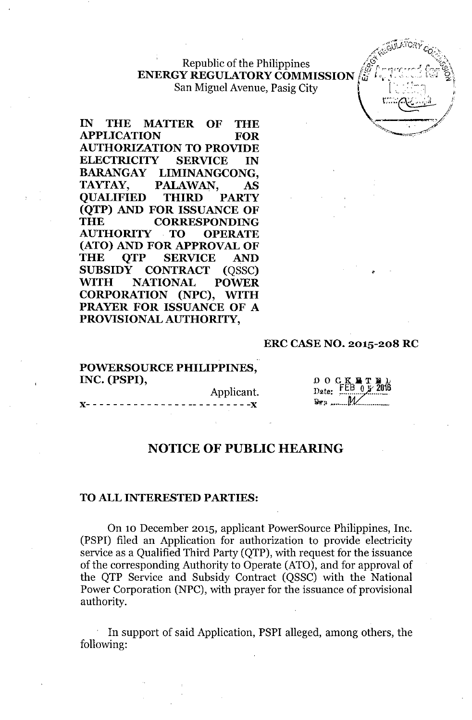**.**  $\mathcal{L}^{(1)}$ Republic of the Philippines  $\sqrt{\frac{g^2}{4}}$ **ENERGY REGULATORY COMMISSION** San Miguel Avenue, Pasig City

IN THE MATTER OF THE APPLICATION FOR AUTHORIZATION TO PROVIDE ELECTRICITY SERVICE IN BARANGAY LIMINANGCONG, TAYTAY, PALAWAN, AS QUALIFIED THIRD PARTY (QTP) AND FOR ISSUANCE OF THE CORRESPONDING<br>AUTHORITY TO OPERATE AUTHORITY . TO OPERATE (ATO) AND FOR APPROVAL OF THE QTP SERVICE AND SUBSIDY CONTRACT (OSSC) WITH NATIONAL POWER CORPORATION (NPC), WITH PRAYER FOR ISSUANCE OF A PROVISIONAL AUTHORITY,

### ERC CASENO. 2015-208 RC

#### POWERSOURCE PHILIPPINES, INC. (PSPI),

Applicant.  $- - - - - - -$ 

;k∎t<br>FEB o≸  $0.0.0.1$ Date:  $\mathbb{R}^{n_2}$  ........  $M$ 

*.*

*'":r.,J\jib;~ir:".* fi ~:{..•. " *-v~>*

,,<del>,,,,,,,,,,,,,,,,,,,,,,</del>,,,,,,, '~ "' ..

 $\sim$ 

P " (2002)

..•.II - Y/

### NOTICE OF PUBLIC HEARING

#### TO ALL INTERESTED PARTIES:

On 10 December 2015, applicant PowerSource Philippines, Inc. (PSPI) filed an Application for authorization to provide electricity service as a Qualified Third Party (QTP), with request for the issuance of the corresponding Authority to Operate (ATO), and for approval of the QTP Service and Subsidy Contract (QSSC) with the National Power Corporation (NPC), with prayer for the issuance of provisional authority.

In support of said Application, PSPI alleged, among others, the following: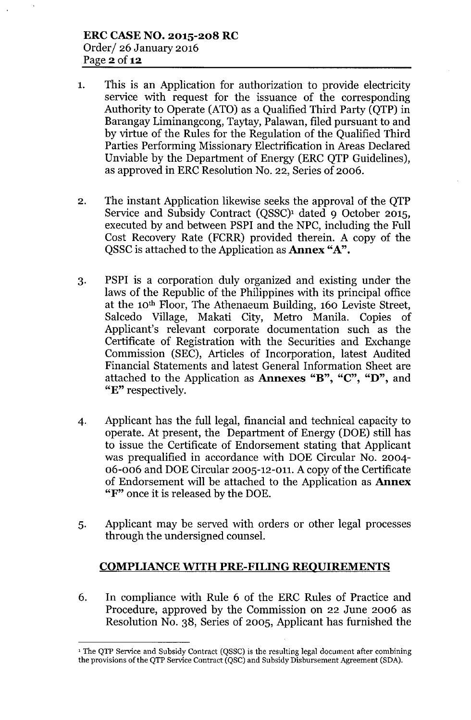- 1. This is an Application for authorization to provide electricity service with request for the issuance of the corresponding Authority to Operate (ATO) as a Qualified Third Party (QTP) in Barangay Liminangcong, Taytay, Palawan, filed pursuant to and by virtue of the Rules for the Regulation of the Qualified Third Parties Performing Missionary Electrification in Areas Declared Unviable by the Department of Energy (ERC QTP Guidelines), as approved in ERC Resolution No. 22, Series of 2006.
- 2. The instant Application likewise seeks the approval of the QTP Service and Subsidy Contract (QSSC)<sup>1</sup> dated 9 October 2015, executed by and between PSPI and the NPC, including the Full Cost Recovery Rate (FCRR) provided therein. A copy of the QSSC is attached to the Application as **Annex** "A".
- 3. PSPI is a corporation duly organized and existing under the laws of the Republic of the Philippines with its principal office at the 10th Floor, The Athenaeum Building, 160 Leviste Street, Salcedo Village, Makati City, Metro Manila. Copies of Applicant's relevant corporate documentation such as the Certificate of Registration with the Securities and Exchange Commission (SEC), Articles of Incorporation, latest Audited Financial Statements and latest General Information Sheet are attached to the Application as **Annexes** "B", "C", "D", and "E" respectively.
- 4. Applicant has the full legal, financial and technical capacity to operate. At present, the Department of Energy (DOE) still has to issue the Certificate of Endorsement stating that Applicant was prequalified in accordance with DOE Circular No. 2004- 06-006 and DOE Circular 2005-12-011. A copy of the Certificate of Endorsement will be attached to the Application as Annex "F" once it is released by the DOE.
- 5. Applicant may be served with orders or other legal processes through the undersigned counsel.

# **COMPLIANCE WITH PRE-FILING REQUIREMENTS**

6. In compliance with Rule 6 of the ERC Rules of Practice and Procedure, approved by the Commission on 22 June 2006 as Resolution No. 38, Series of 2005, Applicant has furnished the

<sup>&</sup>lt;sup>1</sup> The QTP Service and Subsidy Contract (QSSC) is the resulting legal document after combining the provisions of the QTP Service Contract (QSC) and Subsidy Disbursement Agreement (SDA).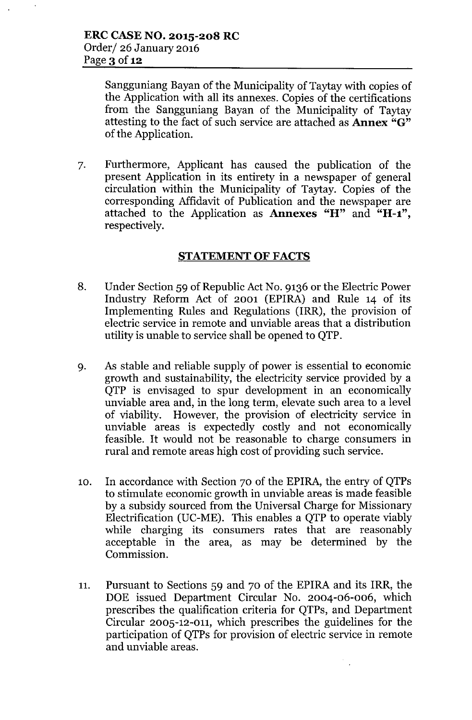Sangguniang Bayan of the Municipality of Taytay with copies of the Application with all its annexes. Copies of the certifications from the Sangguniang Bayan of the Municipality of Taytay attesting to the fact of such service are attached as **Annex** "G" of the Application.

7. Furthermore, Applicant has caused the publication of the present Application in its entirety in a newspaper of general circulation within the Municipality of Taytay. Copies of the corresponding Affidavit of Publication and the newspaper are attached to the Application as Annexes "H" and "H-1", respectively.

# STATEMENT OF FACTS

- 8. Under Section 59 of Republic Act No. 9136 or the Electric Power Industry Reform Act of 2001 (EPIRA) and Rule 14 of its Implementing Rules and Regulations (IRR), the provision of electric service in remote and unviable areas that a distribution utility is unable to service shall be opened to QTP.
- 9. As stable and reliable supply of power is essential to economic growth and sustainability, the electricity service provided by a QTP is envisaged to spur development in an economically unviable area and, in the long term, elevate such area to a level of viability. However, the provision of electricity service in unviable areas is expectedly costly and not economically feasible. It would not be reasonable to charge consumers in rural and remote areas high cost of providing such service.
- 10. In accordance with Section 70 of the EPIRA, the entry of QTPs to stimulate economic growth in unviable areas is made feasible by a subsidy sourced from the Universal Charge for Missionary Electrification (UC-ME). This enables a QTP to operate viably while charging its consumers rates that are reasonably acceptable in the area, as may be determined by the Commission.
- 11. Pursuant to Sections 59 and 70 of the EPIRA and its IRR, the DOE issued Department Circular No. 2004-06-006, which prescribes the qualification criteria for QTPs, and Department Circular 2005-12-011, which prescribes the guidelines for the participation of QTPs for provision of electric service in remote and unviable areas.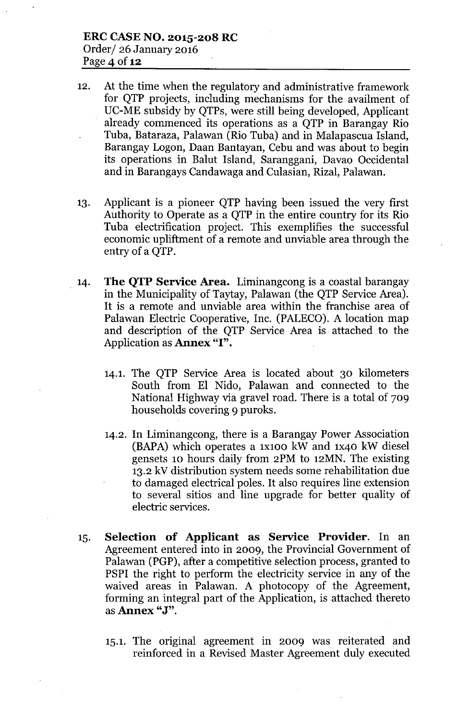- 12. At the time when the regulatory and administrative framework for QTP projects, including mechanisms for the availment of DC-ME subsidy by QTPs, were still being developed, Applicant already commenced its operations as a QTP in Barangay Rio Tuba, Bataraza, Palawan (Rio Tuba) and in Malapascua Island, Barangay Logon, Daan Bantayan, Cebu and was about to begin its operations in Balut Island, Saranggani, Davao Occidental and in Barangays Candawaga and Culasian, Rizal, Palawan.
- 13. Applicant is a pioneer QTP having been issued the very first Authority to Operate as a QTP in the entire country for its Rio Tuba electrification project. This exemplifies the successful economic upliftment of a remote and unviable area through the entry of a QTP.
- 14. The QTP Service Area. Liminangcong is a coastal barangay in the Municipality of Taytay, Palawan (the QTP Service Area). It is a remote and unviable area within the franchise area of Palawan Electric Cooperative, Inc. (PALECO). A location map and description of the QTP Service Area is attached to the Application as **Annex** "I".
	- 14.1. The QTP Service Area is located about 30 kilometers South from El Nido, Palawan and connected to the National Highway via gravel road. There is a total of 709 households covering 9 puroks.
	- 14.2. In Liminangcong, there is a Barangay Power Association (BAPA) which operates a 1x100 kW and 1x40 kW diesel gensets 10 hours daily from 2PM to 12MN. The existing 13.2 kV distribution system needs some rehabilitation due to damaged electrical poles. It also requires line extension to several sitios and line upgrade for better quality of electric services.
- 15. Selection of Applicant as Service Provider. In an Agreement entered into in 2009, the Provincial Government of Palawan (PGP), after a competitive selection process, granted to PSPI the right to perform the electricity service in any of the waived areas in Palawan. A photocopy of the Agreement, forming an integral part of the Application, is attached thereto as **Annex** "J".
	- 15.1. The original agreement in 2009 was reiterated and reinforced in a Revised Master Agreement duly executed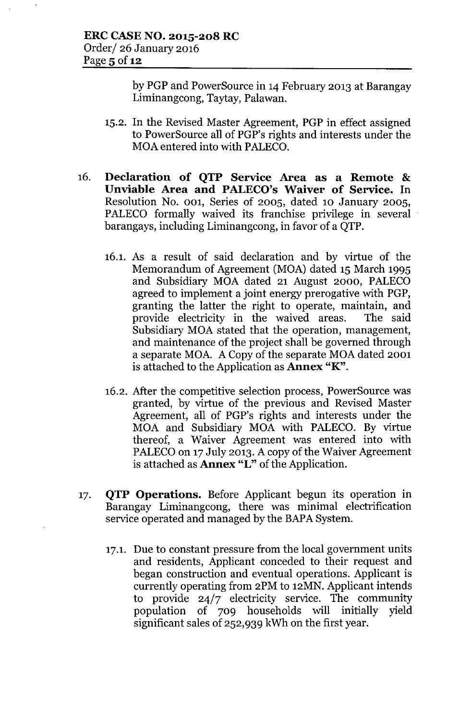by PGP and PowerSource in 14 February 2013 at Barangay Liminangcong, Taytay, Palawan.

- 15.2. In the Revised Master Agreement, PGP in effect assigned to PowerSource all of PGP's rights and interests under the MOA entered into with PALECO.
- 16. Declaration of QTP Service Area as a Remote & Unviable Area and PALECO's Waiver of Service. In Resolution No. 001, Series of 2005, dated 10 January 2005, PALECO formally waived its franchise privilege in several barangays, including Liminangcong, in favor of a QTP.
	- 16.1. As a result of said declaration and by virtue of the Memorandum of Agreement (MOA) dated 15 March 1995 and Subsidiary MOA dated 21 August 2000, PALECO agreed to implement a joint energy prerogative with PGP, granting the latter the right to operate, maintain, and provide electricity in the waived areas. The said Subsidiary MOA stated that the operation, management, and maintenance of the project shall be governed through a separate MOA. A Copy of the separate MOA dated 2001 is attached to the Application as **Annex "K"**.
	- 16.2. After the competitive selection process, PowerSource was granted, by virtue of the previous and Revised Master Agreement, all of PGP's rights and interests under the MOA and Subsidiary MOA with PALECO. By virtue thereof, a Waiver Agreement was entered into with PALECO on 17 July 2013. A copy of the Waiver Agreement is attached as **Annex "L"** of the Application.
- 17. QTP Operations. Before Applicant begun its operation in Barangay Liminangcong, there was minimal electrification service operated and managed by the BAPA System.
	- 17.1. Due to constant pressure from the local government units and residents, Applicant conceded to their request and began construction and eventual operations. Applicant is currently operating from 2PM to 12MN. Applicant intends to provide 24/7 electricity service. The community population of 709 households will initially yield significant sales of 252,939 kWh on the first year.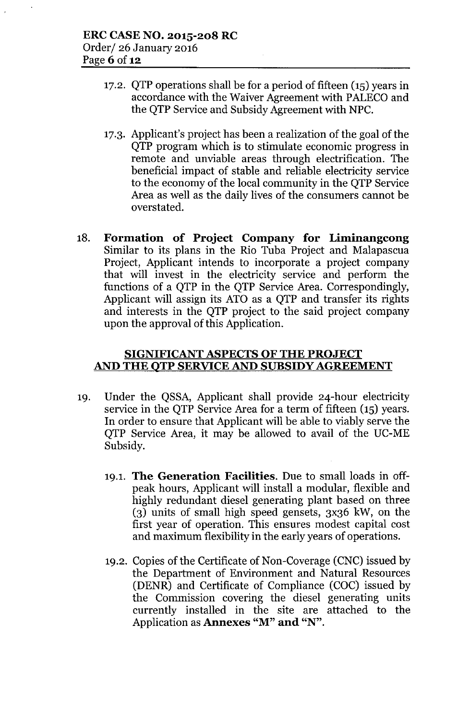- 17.2. QTP operations shall be for a period of fifteen (IS) years in accordance with the Waiver Agreement with PALECO and the QTP Service and Subsidy Agreement with NPC.
- 17.3. Applicant's project has been a realization of the goal of the QTP program which is to stimulate economic progress in remote and unviable areas through electrification. The beneficial impact of stable and reliable electricity service to the economy of the local community in the QTP Service Area as well as the daily lives of the consumers cannot be overstated.
- 18. Formation of Project Company for Liminangcong Similar to its plans in the Rio Tuba Project and Malapascua Project, Applicant intends to incorporate a project company that will invest in the electricity service and perform the functions of a QTP in the QTP Service Area. Correspondingly, Applicant will assign its ATO as a QTP and transfer its rights and interests in the QTP project to the said project company upon the approval of this Application.

## SIGNIFICANT ASPECTS OF THE PROJECT AND THE QTP SERVICE AND SUBSIDY AGREEMENT

- 19. Under the QSSA, Applicant shall provide 24-hour electricity service in the QTP Service Area for a term of fifteen (15) years. In order to ensure that Applicant will be able to viably serve the QTP Service Area, it may be allowed to avail of the UC-ME Subsidy.
	- 19.1. The Generation Facilities. Due to small loads in offpeak hours, Applicant will install a modular, flexible and highly redundant diesel generating plant based on three (3) units of small high speed gensets, 3x36 kW, on the first year of operation. This ensures modest capital cost and maximum flexibility in the early years of operations.
	- 19.2. Copies of the Certificate of Non-Coverage (CNC) issued by the Department of Environment and Natural Resources (DENR) and Certificate of Compliance (COC) issued by the Commission covering the diesel generating units currently installed in the site are attached to the Application as Annexes "M" and "N".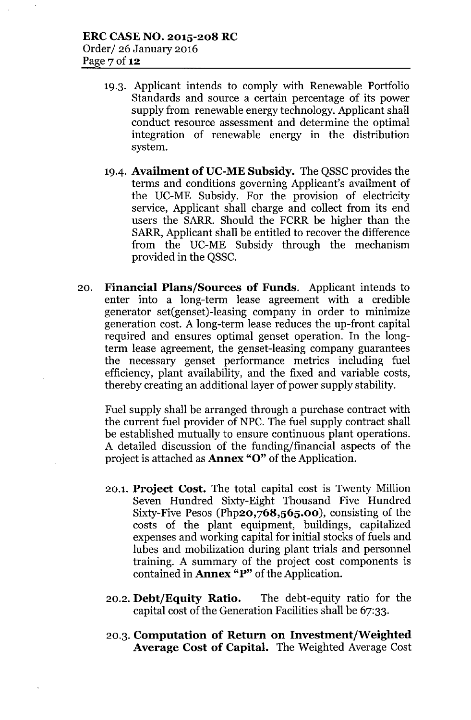- 19.3. Applicant intends to comply with Renewable Portfolio Standards and source a certain percentage of its power supply from renewable energy technology. Applicant shall conduct resource assessment and determine the optimal integration of renewable energy in the distribution system.
- 19.4. Availment of UC-ME Subsidy. The QSSC provides the terms and conditions governing Applicant's availment of the DC-ME Subsidy. For the provision of electricity service, Applicant shall charge and collect from its end users the SARR. Should the FCRR be higher than the SARR, Applicant shall be entitled to recover the difference from the DC-ME Subsidy through the mechanism provided in the QSSC.
- 20. Financial Plans/Sources of Funds. Applicant intends to enter into a long-term lease agreement with a credible generator set(genset)-leasing company in order to minimize generation cost. A long-term lease reduces the up-front capital required and ensures optimal genset operation. In the longterm lease agreement, the genset-leasing company guarantees the necessary genset performance metrics including fuel efficiency, plant availability, and the fixed and variable costs, thereby creating an additional layer of power supply stability.

Fuel supply shall be arranged through a purchase contract with the current fuel provider of NPC. The fuel supply contract shall be established mutually to ensure continuous plant operations. A detailed discussion of the funding/financial aspects of the project is attached as Annex "0" of the Application.

- 20.1. Project Cost. The total capital cost is Twenty Million Seven Hundred Sixty-Eight Thousand Five Hundred Sixty-Five Pesos (Php20,768,565.00), consisting of the costs of the plant equipment, buildings, capitalized expenses and working capital for initial stocks of fuels and lubes and mobilization during plant trials and personnel training. A summary of the project cost components is contained in **Annex** " $P$ " of the Application.
- 20.2. Debt/Equity Ratio. The debt-equity ratio for the capital cost of the Generation Facilities shall be 67:33.
- 20.3. Computation of Return on Investment/Weighted Average Cost of Capital. The Weighted Average Cost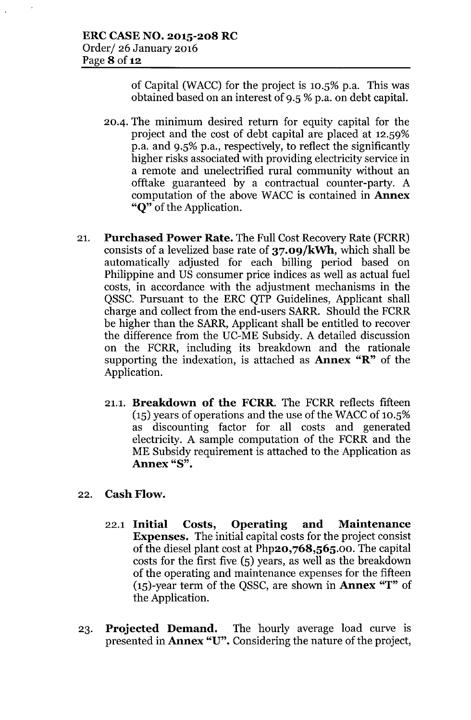of Capital (WACC) for the project is  $10.5\%$  p.a. This was obtained based on an interest of 9.S %p.a. on debt capital.

- 20-4. The minimum desired return for equity capital for the project and the cost of debt capital are placed at 12.S9% p.a. and 9.S% p.a., respectively, to reflect the significantly higher risks associated with providing electricity service in a remote and unelectrified rural community without an offtake guaranteed by a contractual counter-party. A computation of the above WACC is contained in Annex "Q" of the Application.
- 21. Purchased Power Rate. The Full Cost Recovery Rate (FCRR) consists of a levelized base rate of 37.09/kWh, which shall be automatically adjusted for each billing period based on Philippine and US consumer price indices as well as actual fuel costs, in accordance with the adjustment mechanisms in the QSSC. Pursuant to the ERC QTP Guidelines, Applicant shall charge and collect from the end-users SARR. Should the FCRR be higher than the SARR, Applicant shall be entitled to recover the difference from the UC-ME Subsidy. A detailed discussion on the FCRR, including its breakdown and the rationale supporting the indexation, is attached as Annex "R" of the Application.
	- 21.1. Breakdown of the FCRR. The FCRR reflects fifteen  $(15)$  years of operations and the use of the WACC of 10.5% as discounting factor for all costs and generated electricity. A sample computation of the FCRR and the ME Subsidy requirement is attached to the Application as Annex "8".
- 22. Cash Flow.
	- 22.1 Initial Costs, Operating and Maintenance Expenses. The initial capital costs for the project consist of the diesel plant cost at Php20,768,565.00. The capital costs for the first five  $(5)$  years, as well as the breakdown of the operating and maintenance expenses for the fifteen  $(15)$ -year term of the QSSC, are shown in **Annex** "T" of the Application.
- 23. Projected Demand. The hourly average load curve is presented in Annex "U". Considering the nature of the project,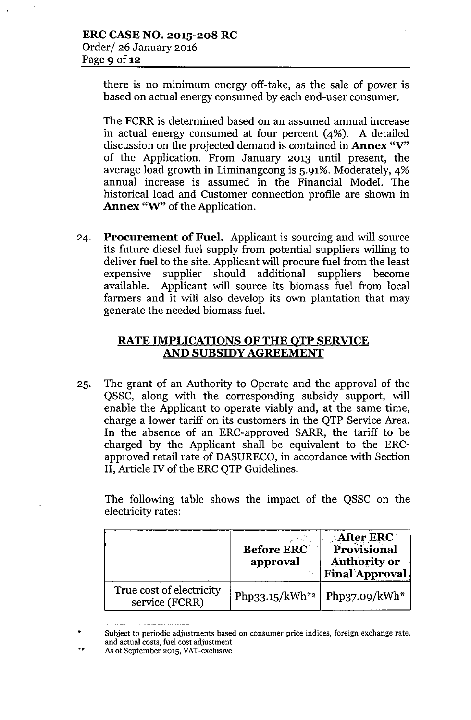there is no minimum energy off-take, as the sale of power is based on actual energy consumed by each end-user consumer.

The FCRR is determined based on an assumed annual increase in actual energy consumed at four percent (4%). A detailed discussion on the projected demand is contained in **Annex** "V" of the Application. From January 2013 until present, the average load growth in Liminangcong is 5.91%. Moderately, 4% annual increase is assumed in the Financial Model. The historical load and Customer connection profile are shown in **Annex** "W" of the Application.

24. **Procurement of Fuel.** Applicant is sourcing and will source its future diesel fuel supply from potential suppliers willing to deliver fuel to the site. Applicant will procure fuel from the least expensive supplier should additional suppliers become available. Applicant will source its biomass fuel from local farmers and it will also develop its own plantation that may generate the needed biomass fuel.

# **RATE IMPLICATIONS OF THE QTP SERVICE AND SUBSIDY AGREEMENT**

25. The grant of an Authority to Operate and the approval of the QSSC, along with the corresponding subsidy support, will enable the Applicant to operate viably and, at the same time, charge a lower tariff on its customers in the QTP Service Area. In the absence of an ERC-approved SARR, the tariff to be charged by the Applicant shall be equivalent to the ERCapproved retail rate of DASURECO, in accordance with Section **II,** Article IV of the ERCQTP Guidelines.

The following table shows the impact of the QSSC on the electricity rates:

|                                            | <b>Before ERC</b><br>approval | $\therefore$ After ERC $\therefore$<br>Provisional<br><b>Authority or</b><br><b>Final Approval</b> |
|--------------------------------------------|-------------------------------|----------------------------------------------------------------------------------------------------|
| True cost of electricity<br>service (FCRR) | Php33.15/kWh <sup>*2</sup>    | Php37.09/kWh $*$                                                                                   |

<sup>•</sup> Subject to periodic adjustments based on consumer price indices, foreign exchange rate, and actual costs, fuel cost adjustment

<sup>••</sup> As of September 2015, VAT-exclusive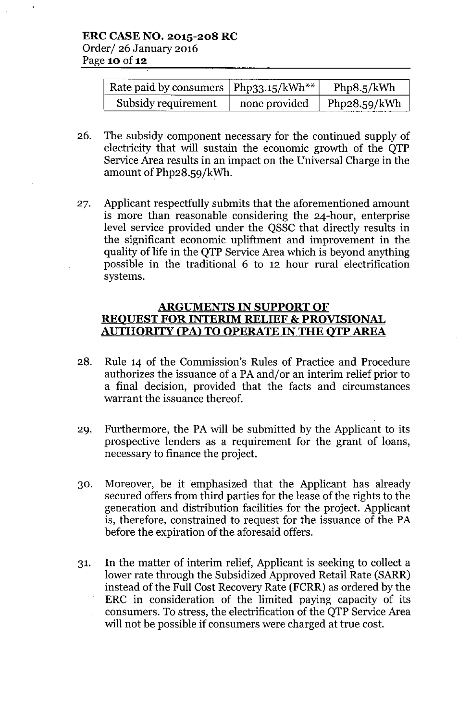| Rate paid by consumers $\vert$ Php33.15/kWh** |               | Php8.5/kWh   |
|-----------------------------------------------|---------------|--------------|
| Subsidy requirement                           | none provided | Php28.59/kWh |

- 26. The subsidy component necessary for the continued supply of electricity that will sustain the economic growth of the QTP Service Area results in an impact on the Universal Charge in the amount of  $Php28.59/kWh$ .
- 27. Applicant respectfully submits that the aforementioned amount is more than reasonable considering the 24-hour, enterprise level service provided under the QSSC that directly results in the significant economic upliftment and improvement in the quality of life in the QTP Service Area which is beyond anything possible in the traditional 6 to 12 hour rural electrification systems.

## **ARGUMENTS IN SUPPORT OF REQUEST FOR INTERIM RELIEF & PROVISIONAL AUTHORITY (PA) TO OPERATE IN THE QTP AREA**

- 28. Rule 14 of the Commission's Rules of Practice and Procedure authorizes the issuance of a PA and/or an interim relief prior to a final decision, provided that the facts and circumstances warrant the issuance thereof.
- 29. Furthermore, the PA will be submitted by the Applicant to its prospective lenders as a requirement for the grant of loans, necessary to finance the project.
- 30. Moreover, be it emphasized that the Applicant has already secured offers from third parties for the lease of the rights to the generation and distribution facilities for the project. Applicant is, therefore, constrained to request for the issuance of the PA before the expiration of the aforesaid offers.
- 31. In the matter of interim relief, Applicant is seeking to collect a lower rate through the Subsidized Approved Retail Rate (SARR) instead of the Full Cost Recovery Rate (FCRR) as ordered by the ERC in consideration of the limited paying capacity of its consumers. To stress, the electrification of the QTP Service Area will not be possible if consumers were charged at true cost.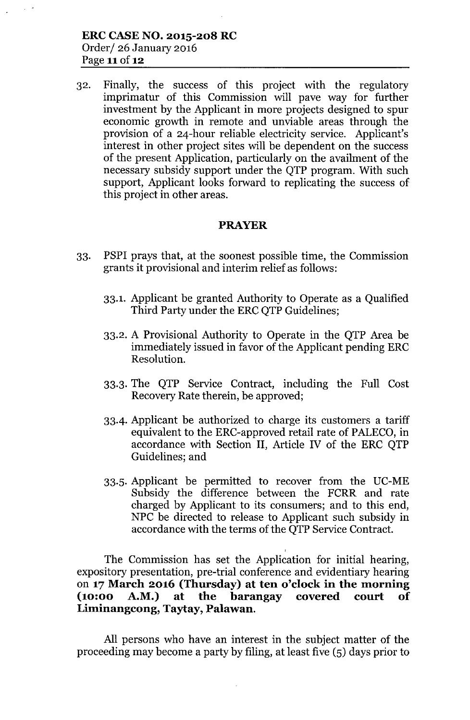32. Finally, the success of this project with the regulatory imprimatur of this Commission will pave way for further investment by the Applicant in more projects designed to spur economic growth in remote and unviable areas through the provision of a 24-hour reliable electricity service. Applicant's interest in other project sites will be dependent on the success of the present Application, particularly on the availment of the necessary subsidy support under the QTP program. With such support, Applicant looks forward to replicating the success of this project in other areas.

## **PRAYER**

- 33. PSPI prays that, at the soonest possible time, the Commission grants it provisional and interim relief as follows:
	- 33.1. Applicant be granted Authority to Operate as a Qualified Third Party under the ERC QTP Guidelines;
	- 33.2. A Provisional Authority to Operate in the QTP Area be immediately issued in favor of the Applicant pending ERC Resolution.
	- 33.3. The QTP Service Contract, including the Full Cost Recovery Rate therein, be approved;
	- 33-4. Applicant be authorized to charge its customers a tariff equivalent to the ERC-approved retail rate of PALECO, in accordance with Section **II,** Article IV of the ERC QTP Guidelines; and
	- 33.S. Applicant be permitted to recover from the DC-ME Subsidy the difference between the FCRR and rate charged by Applicant to its consumers; and to this end, NPC be directed to release to Applicant such subsidy in accordance with the terms of the QTP Service Contract.

The Commission has set the Application for initial hearing, expository presentation, pre-trial conference and evidentiary hearing on **17 March 2016 (Thursday) at ten o'clock in the morning (10:00 A.M.) at the barangay covered court of Liminangcong, Taytay, Palawan.**

All persons who have an interest in the subject matter of the proceeding may become a party by filing, at least five (S) days prior to